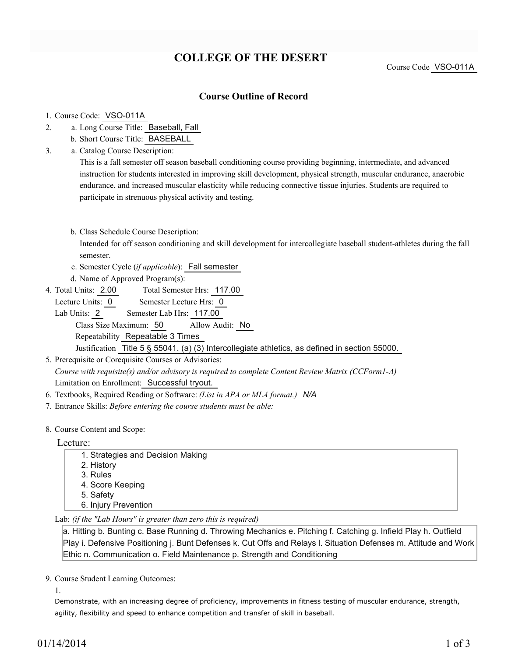## **COLLEGE OF THE DESERT**

Course Code VSO-011A

## **Course Outline of Record**

## 1. Course Code: VSO-011A

- a. Long Course Title: Baseball, Fall 2.
	- b. Short Course Title: BASEBALL
- Catalog Course Description: a. 3.

This is a fall semester off season baseball conditioning course providing beginning, intermediate, and advanced instruction for students interested in improving skill development, physical strength, muscular endurance, anaerobic endurance, and increased muscular elasticity while reducing connective tissue injuries. Students are required to participate in strenuous physical activity and testing.

b. Class Schedule Course Description:

Intended for off season conditioning and skill development for intercollegiate baseball student-athletes during the fall semester.

- c. Semester Cycle (*if applicable*): Fall semester
- d. Name of Approved Program(s):
- Total Semester Hrs: 117.00 4. Total Units: 2.00
	- Lecture Units: 0 Semester Lecture Hrs: 0

Lab Units: 2 Semester Lab Hrs: 117.00

Class Size Maximum: 50 Allow Audit: No Repeatability Repeatable 3 Times Justification Title 5 § 55041. (a) (3) Intercollegiate athletics, as defined in section 55000.

5. Prerequisite or Corequisite Courses or Advisories: *Course with requisite(s) and/or advisory is required to complete Content Review Matrix (CCForm1-A)* Limitation on Enrollment: Successful tryout.

- 6. Textbooks, Required Reading or Software: *(List in APA or MLA format.) N/A*
- 7. Entrance Skills: *Before entering the course students must be able:*
- 8. Course Content and Scope:

Lecture:

| 1. Strategies and Decision Making |
|-----------------------------------|
| 2. History                        |
| 3. Rules                          |
| 4. Score Keeping                  |
| 5. Safety                         |
| 6. Injury Prevention              |
|                                   |

Lab: *(if the "Lab Hours" is greater than zero this is required)*

a. Hitting b. Bunting c. Base Running d. Throwing Mechanics e. Pitching f. Catching g. Infield Play h. Outfield Play i. Defensive Positioning j. Bunt Defenses k. Cut Offs and Relays l. Situation Defenses m. Attitude and Work Ethic n. Communication o. Field Maintenance p. Strength and Conditioning

9. Course Student Learning Outcomes:

1.

Demonstrate, with an increasing degree of proficiency, improvements in fitness testing of muscular endurance, strength, agility, flexibility and speed to enhance competition and transfer of skill in baseball.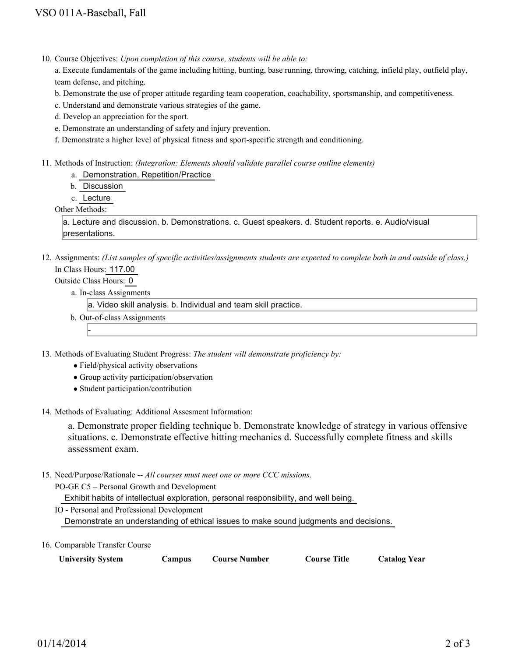10. Course Objectives: Upon completion of this course, students will be able to:

a. Execute fundamentals of the game including hitting, bunting, base running, throwing, catching, infield play, outfield play, team defense, and pitching.

b. Demonstrate the use of proper attitude regarding team cooperation, coachability, sportsmanship, and competitiveness.

c. Understand and demonstrate various strategies of the game.

d. Develop an appreciation for the sport.

- e. Demonstrate an understanding of safety and injury prevention.
- f. Demonstrate a higher level of physical fitness and sport-specific strength and conditioning.
- Methods of Instruction: *(Integration: Elements should validate parallel course outline elements)* 11.

a. Demonstration, Repetition/Practice

b. Discussion

c. Lecture

Other Methods:

a. Lecture and discussion. b. Demonstrations. c. Guest speakers. d. Student reports. e. Audio/visual presentations.

12. Assignments: (List samples of specific activities/assignments students are expected to complete both in and outside of class.) In Class Hours: 117.00

Outside Class Hours: 0

-

a. In-class Assignments

a. Video skill analysis. b. Individual and team skill practice.

b. Out-of-class Assignments

13. Methods of Evaluating Student Progress: The student will demonstrate proficiency by:

- Field/physical activity observations
- Group activity participation/observation
- Student participation/contribution

14. Methods of Evaluating: Additional Assesment Information:

a. Demonstrate proper fielding technique b. Demonstrate knowledge of strategy in various offensive situations. c. Demonstrate effective hitting mechanics d. Successfully complete fitness and skills assessment exam.

15. Need/Purpose/Rationale -- All courses must meet one or more CCC missions.

PO-GE C5 – Personal Growth and Development

Exhibit habits of intellectual exploration, personal responsibility, and well being.

IO - Personal and Professional Development

Demonstrate an understanding of ethical issues to make sound judgments and decisions.

16. Comparable Transfer Course

| <b>University System</b> | Campus | <b>Course Number</b> | <b>Course Title</b> | <b>Catalog Year</b> |
|--------------------------|--------|----------------------|---------------------|---------------------|
|--------------------------|--------|----------------------|---------------------|---------------------|